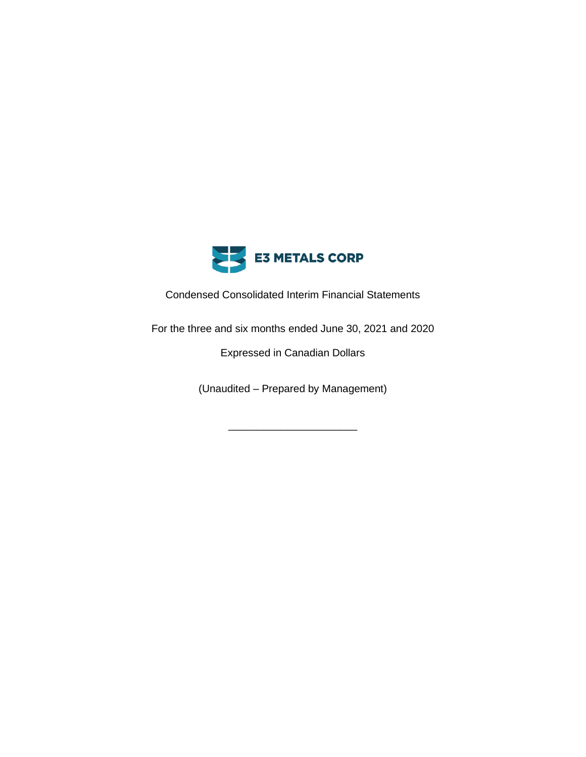

Condensed Consolidated Interim Financial Statements

For the three and six months ended June 30, 2021 and 2020

Expressed in Canadian Dollars

(Unaudited – Prepared by Management)

\_\_\_\_\_\_\_\_\_\_\_\_\_\_\_\_\_\_\_\_\_\_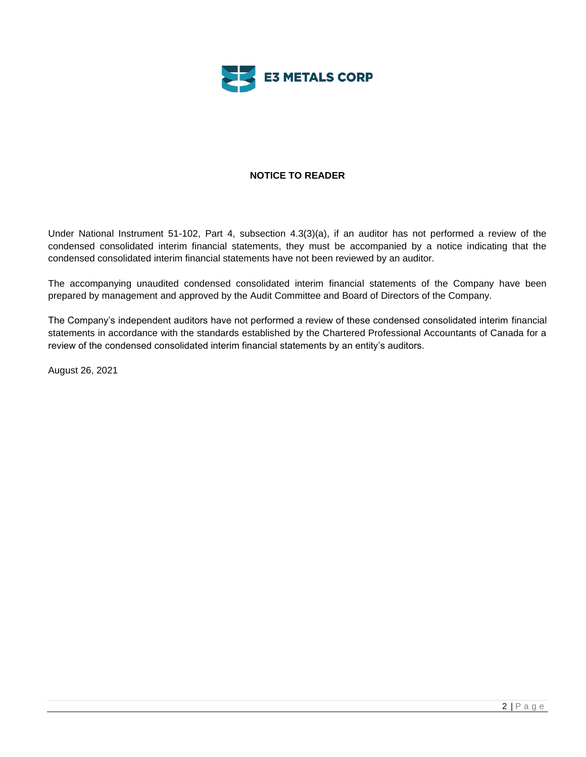

# **NOTICE TO READER**

Under National Instrument 51-102, Part 4, subsection 4.3(3)(a), if an auditor has not performed a review of the condensed consolidated interim financial statements, they must be accompanied by a notice indicating that the condensed consolidated interim financial statements have not been reviewed by an auditor.

The accompanying unaudited condensed consolidated interim financial statements of the Company have been prepared by management and approved by the Audit Committee and Board of Directors of the Company.

The Company's independent auditors have not performed a review of these condensed consolidated interim financial statements in accordance with the standards established by the Chartered Professional Accountants of Canada for a review of the condensed consolidated interim financial statements by an entity's auditors.

August 26, 2021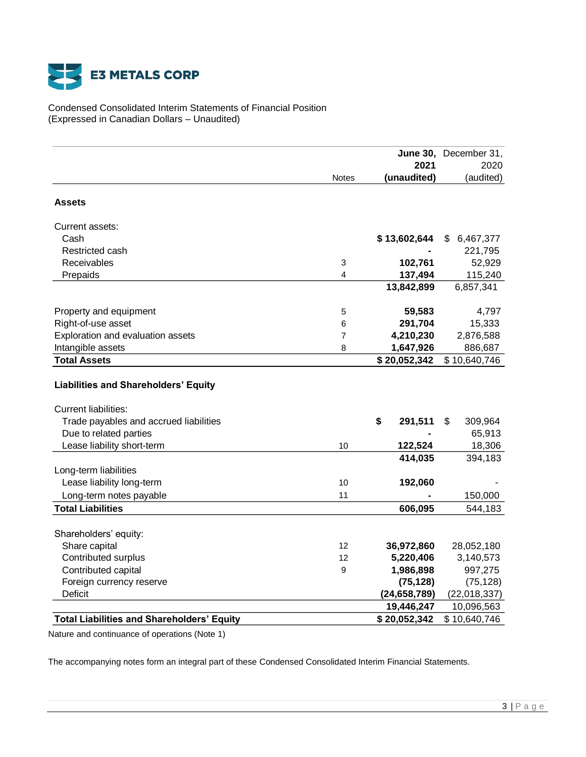

Condensed Consolidated Interim Statements of Financial Position (Expressed in Canadian Dollars – Unaudited)

|                                                      |                           |                | June 30, December 31, |
|------------------------------------------------------|---------------------------|----------------|-----------------------|
|                                                      |                           | 2021           | 2020                  |
|                                                      | <b>Notes</b>              | (unaudited)    | (audited)             |
| Assets                                               |                           |                |                       |
|                                                      |                           |                |                       |
| Current assets:                                      |                           |                |                       |
| Cash                                                 |                           | \$13,602,644   | \$<br>6,467,377       |
| Restricted cash                                      |                           |                | 221,795               |
| Receivables                                          | $\ensuremath{\mathsf{3}}$ | 102,761        | 52,929                |
| Prepaids                                             | 4                         | 137,494        | 115,240               |
|                                                      |                           | 13,842,899     | 6,857,341             |
| Property and equipment                               | 5                         | 59,583         | 4,797                 |
| Right-of-use asset                                   | 6                         | 291,704        | 15,333                |
| Exploration and evaluation assets                    | 7                         | 4,210,230      | 2,876,588             |
| Intangible assets                                    | 8                         | 1,647,926      | 886,687               |
| <b>Total Assets</b>                                  |                           | \$20,052,342   | \$10,640,746          |
| <b>Liabilities and Shareholders' Equity</b>          |                           |                |                       |
| <b>Current liabilities:</b>                          |                           |                |                       |
| Trade payables and accrued liabilities               |                           | \$<br>291,511  | \$<br>309,964         |
| Due to related parties<br>Lease liability short-term | 10                        | 122,524        | 65,913<br>18,306      |
|                                                      |                           | 414,035        | 394,183               |
| Long-term liabilities                                |                           |                |                       |
| Lease liability long-term                            | 10                        | 192,060        |                       |
| Long-term notes payable                              | 11                        |                | 150,000               |
| <b>Total Liabilities</b>                             |                           | 606,095        | 544,183               |
| Shareholders' equity:                                |                           |                |                       |
| Share capital                                        | 12                        | 36,972,860     | 28,052,180            |
| Contributed surplus                                  | 12                        | 5,220,406      | 3,140,573             |
| Contributed capital                                  | 9                         | 1,986,898      | 997,275               |
| Foreign currency reserve                             |                           | (75, 128)      | (75, 128)             |
| Deficit                                              |                           | (24, 658, 789) | (22,018,337)          |
|                                                      |                           | 19,446,247     | 10,096,563            |
| <b>Total Liabilities and Shareholders' Equity</b>    |                           | \$20,052,342   | \$10,640,746          |

Nature and continuance of operations (Note 1)

The accompanying notes form an integral part of these Condensed Consolidated Interim Financial Statements.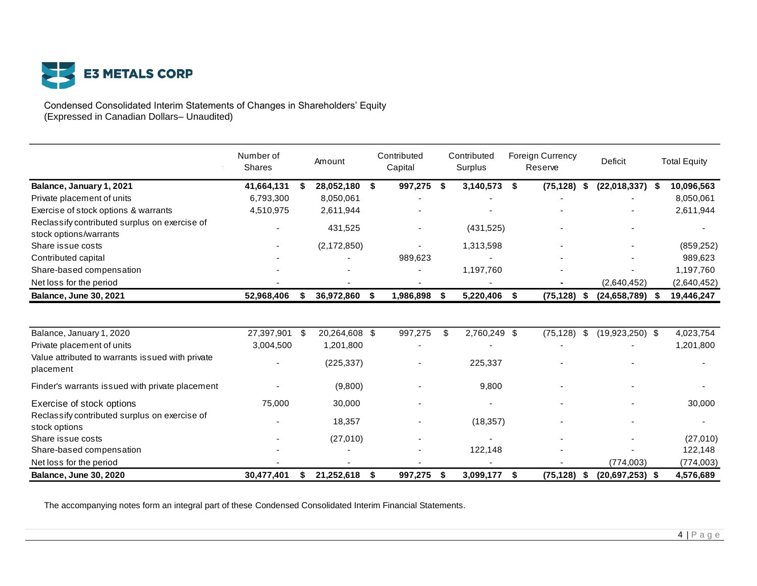

Condensed Consolidated Interim Statements of Changes in Shareholders' Equity (Expressed in Canadian Dollars– Unaudited)

|                                                                         | Number of<br><b>Shares</b> |      | Amount        |    | Contributed<br>Capital |      | Contributed<br>Surplus | <b>Foreign Currency</b><br>Reserve |      | Deficit             | <b>Total Equity</b> |
|-------------------------------------------------------------------------|----------------------------|------|---------------|----|------------------------|------|------------------------|------------------------------------|------|---------------------|---------------------|
| Balance, January 1, 2021                                                | 41,664,131                 | - \$ | 28,052,180    | S. | 997,275                | - \$ | 3,140,573              | \$<br>(75, 128)                    | - \$ | $(22,018,337)$ \$   | 10,096,563          |
| Private placement of units                                              | 6,793,300                  |      | 8,050,061     |    |                        |      |                        |                                    |      |                     | 8,050,061           |
| Exercise of stock options & warrants                                    | 4,510,975                  |      | 2,611,944     |    |                        |      |                        |                                    |      |                     | 2,611,944           |
| Reclassify contributed surplus on exercise of<br>stock options/warrants |                            |      | 431,525       |    |                        |      | (431,525)              |                                    |      |                     |                     |
| Share issue costs                                                       |                            |      | (2, 172, 850) |    |                        |      | 1,313,598              |                                    |      |                     | (859, 252)          |
| Contributed capital                                                     |                            |      |               |    | 989,623                |      |                        |                                    |      |                     | 989,623             |
| Share-based compensation                                                |                            |      |               |    |                        |      | 1,197,760              |                                    |      |                     | 1,197,760           |
| Net loss for the period                                                 |                            |      |               |    |                        |      |                        |                                    |      | (2,640,452)         | (2,640,452)         |
| <b>Balance, June 30, 2021</b>                                           | 52,968,406                 | S    | 36,972,860    | S. | 1,986,898              | \$   | 5,220,406              | \$<br>(75, 128)                    | - \$ | $(24, 658, 789)$ \$ | 19,446,247          |
| Balance, January 1, 2020                                                | 27,397,901                 | - \$ | 20,264,608 \$ |    | 997,275                | \$   | 2,760,249 \$           | (75, 128)                          | \$   | $(19,923,250)$ \$   | 4,023,754           |
| Private placement of units                                              | 3,004,500                  |      | 1,201,800     |    |                        |      |                        |                                    |      |                     | 1,201,800           |
| Value attributed to warrants issued with private<br>placement           |                            |      | (225, 337)    |    |                        |      | 225,337                |                                    |      |                     |                     |
| Finder's warrants issued with private placement                         |                            |      | (9,800)       |    |                        |      | 9,800                  |                                    |      |                     |                     |
| Exercise of stock options                                               | 75,000                     |      | 30,000        |    |                        |      |                        |                                    |      |                     | 30,000              |
| Reclassify contributed surplus on exercise of<br>stock options          |                            |      | 18,357        |    |                        |      | (18, 357)              |                                    |      |                     |                     |
| Share issue costs                                                       |                            |      | (27,010)      |    |                        |      |                        |                                    |      |                     | (27,010)            |
| Share-based compensation                                                |                            |      |               |    |                        |      | 122,148                |                                    |      |                     | 122,148             |
| Net loss for the period                                                 |                            |      |               |    |                        |      |                        |                                    |      | (774, 003)          | (774,003)           |
| <b>Balance, June 30, 2020</b>                                           | 30,477,401                 | \$   | 21,252,618    | \$ | 997,275                | S.   | 3,099,177              | \$<br>(75, 128)                    | -\$  | $(20,697,253)$ \$   | 4,576,689           |

The accompanying notes form an integral part of these Condensed Consolidated Interim Financial Statements.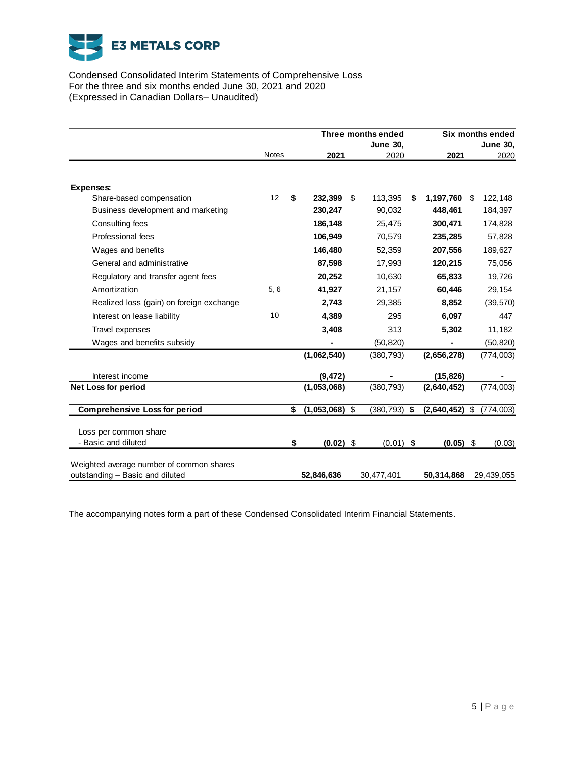

Condensed Consolidated Interim Statements of Comprehensive Loss For the three and six months ended June 30, 2021 and 2020 (Expressed in Canadian Dollars– Unaudited)

|                                          |              | Three months ended |     |                 | Six months ended |             |    |                 |
|------------------------------------------|--------------|--------------------|-----|-----------------|------------------|-------------|----|-----------------|
|                                          |              |                    |     | <b>June 30,</b> |                  |             |    | <b>June 30,</b> |
|                                          | <b>Notes</b> | 2021               |     | 2020            |                  | 2021        |    | 2020            |
|                                          |              |                    |     |                 |                  |             |    |                 |
| Expenses:                                |              |                    |     |                 |                  |             |    |                 |
| Share-based compensation                 | 12           | \$<br>232.399      | -\$ | 113,395         | \$               | 1,197,760   | \$ | 122,148         |
| Business development and marketing       |              | 230,247            |     | 90,032          |                  | 448,461     |    | 184,397         |
| Consulting fees                          |              | 186,148            |     | 25,475          |                  | 300,471     |    | 174,828         |
| Professional fees                        |              | 106,949            |     | 70,579          |                  | 235,285     |    | 57,828          |
| Wages and benefits                       |              | 146,480            |     | 52,359          |                  | 207,556     |    | 189,627         |
| General and administrative               |              | 87,598             |     | 17,993          |                  | 120,215     |    | 75,056          |
| Regulatory and transfer agent fees       |              | 20,252             |     | 10,630          |                  | 65,833      |    | 19,726          |
| Amortization                             | 5, 6         | 41,927             |     | 21,157          |                  | 60,446      |    | 29,154          |
| Realized loss (gain) on foreign exchange |              | 2,743              |     | 29,385          |                  | 8,852       |    | (39, 570)       |
| Interest on lease liability              | 10           | 4,389              |     | 295             |                  | 6,097       |    | 447             |
| Travel expenses                          |              | 3,408              |     | 313             |                  | 5,302       |    | 11,182          |
| Wages and benefits subsidy               |              |                    |     | (50, 820)       |                  |             |    | (50, 820)       |
|                                          |              | (1,062,540)        |     | (380, 793)      |                  | (2,656,278) |    | (774, 003)      |
| Interest income                          |              | (9, 472)           |     |                 |                  | (15, 826)   |    |                 |
| <b>Net Loss for period</b>               |              | (1,053,068)        |     | (380, 793)      |                  | (2,640,452) |    | (774,003)       |
|                                          |              |                    |     |                 |                  |             |    |                 |
| <b>Comprehensive Loss for period</b>     |              | \$<br>(1,053,068)  | \$  | (380, 793)      | \$               | (2,640,452) | \$ | (774,003)       |
| Loss per common share                    |              |                    |     |                 |                  |             |    |                 |
| - Basic and diluted                      |              | \$<br>(0.02)       | \$  | $(0.01)$ \$     |                  | (0.05)      | \$ | (0.03)          |
|                                          |              |                    |     |                 |                  |             |    |                 |
| Weighted average number of common shares |              |                    |     |                 |                  |             |    |                 |
| outstanding - Basic and diluted          |              | 52,846,636         |     | 30,477,401      |                  | 50,314,868  |    | 29,439,055      |

The accompanying notes form a part of these Condensed Consolidated Interim Financial Statements.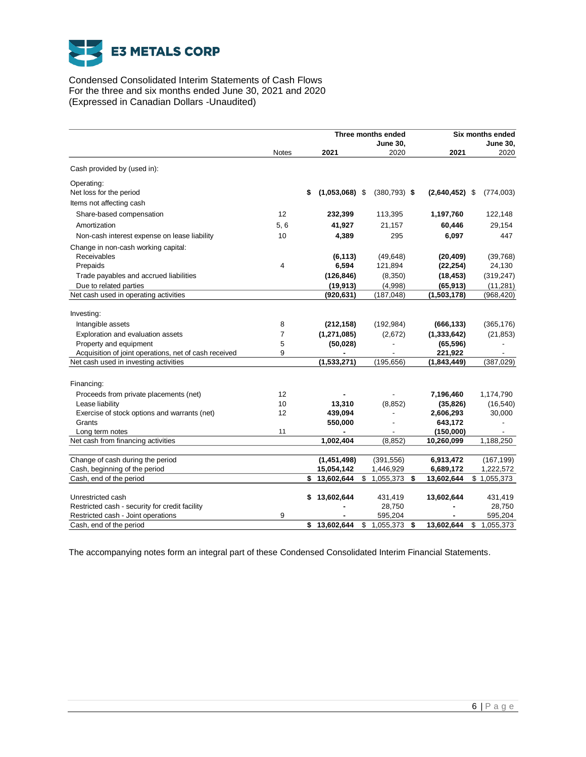

Condensed Consolidated Interim Statements of Cash Flows For the three and six months ended June 30, 2021 and 2020 (Expressed in Canadian Dollars -Unaudited)

|                                                       |              |                        | Three months ended<br><b>June 30,</b> |                  | Six months ended<br><b>June 30,</b> |
|-------------------------------------------------------|--------------|------------------------|---------------------------------------|------------------|-------------------------------------|
|                                                       | <b>Notes</b> | 2021                   | 2020                                  | 2021             | 2020                                |
| Cash provided by (used in):                           |              |                        |                                       |                  |                                     |
| Operating:                                            |              |                        |                                       |                  |                                     |
| Net loss for the period                               |              | $(1,053,068)$ \$<br>\$ | $(380, 793)$ \$                       | $(2,640,452)$ \$ | (774,003)                           |
| Items not affecting cash                              |              |                        |                                       |                  |                                     |
| Share-based compensation                              | 12           | 232,399                | 113,395                               | 1,197,760        | 122,148                             |
| Amortization                                          | 5, 6         | 41,927                 | 21,157                                | 60,446           | 29,154                              |
| Non-cash interest expense on lease liability          | 10           | 4,389                  | 295                                   | 6.097            | 447                                 |
| Change in non-cash working capital:                   |              |                        |                                       |                  |                                     |
| Receivables                                           |              | (6, 113)               | (49, 648)                             | (20, 409)        | (39,768)                            |
| Prepaids                                              | 4            | 6,594                  | 121,894                               | (22, 254)        | 24,130                              |
| Trade payables and accrued liabilities                |              | (126, 846)             | (8,350)                               | (18, 453)        | (319, 247)                          |
| Due to related parties                                |              | (19, 913)              | (4,998)                               | (65, 913)        | (11, 281)                           |
| Net cash used in operating activities                 |              | (920, 631)             | (187, 048)                            | (1,503,178)      | (968, 420)                          |
|                                                       |              |                        |                                       |                  |                                     |
| Investing:                                            |              |                        |                                       |                  |                                     |
| Intangible assets                                     | 8            | (212, 158)             | (192, 984)                            | (666, 133)       | (365, 176)                          |
| Exploration and evaluation assets                     | 7            | (1, 271, 085)          | (2,672)                               | (1, 333, 642)    | (21, 853)                           |
| Property and equipment                                | 5            | (50, 028)              |                                       | (65, 596)        |                                     |
| Acquisition of joint operations, net of cash received | 9            |                        |                                       | 221,922          |                                     |
| Net cash used in investing activities                 |              | (1,533,271)            | (195, 656)                            | (1,843,449)      | (387, 029)                          |
| Financing:                                            |              |                        |                                       |                  |                                     |
| Proceeds from private placements (net)                | 12           |                        |                                       | 7,196,460        | 1,174,790                           |
| Lease liability                                       | 10           | 13,310                 | (8, 852)                              | (35, 826)        | (16, 540)                           |
| Exercise of stock options and warrants (net)          | 12           | 439,094                |                                       | 2,606,293        | 30,000                              |
| Grants                                                |              | 550,000                |                                       | 643,172          |                                     |
| Long term notes                                       | 11           |                        |                                       | (150,000)        |                                     |
| Net cash from financing activities                    |              | 1,002,404              | (8, 852)                              | 10,260,099       | 1,188,250                           |
|                                                       |              |                        |                                       |                  |                                     |
| Change of cash during the period                      |              | (1,451,498)            | (391, 556)                            | 6,913,472        | (167, 199)                          |
| Cash, beginning of the period                         |              | 15,054,142             | 1,446,929                             | 6,689,172        | 1,222,572                           |
| Cash, end of the period                               |              | \$13,602,644           | \$<br>1,055,373<br>\$                 | 13,602,644       | \$1,055,373                         |
| Unrestricted cash                                     |              | 13,602,644<br>\$       | 431,419                               | 13,602,644       | 431,419                             |
| Restricted cash - security for credit facility        |              |                        | 28,750                                |                  | 28,750                              |
| Restricted cash - Joint operations                    | 9            |                        | 595,204                               |                  | 595,204                             |
| Cash, end of the period                               |              | 13,602,644<br>\$       | \$<br>1,055,373<br>\$                 | 13,602,644       | \$<br>1,055,373                     |

The accompanying notes form an integral part of these Condensed Consolidated Interim Financial Statements.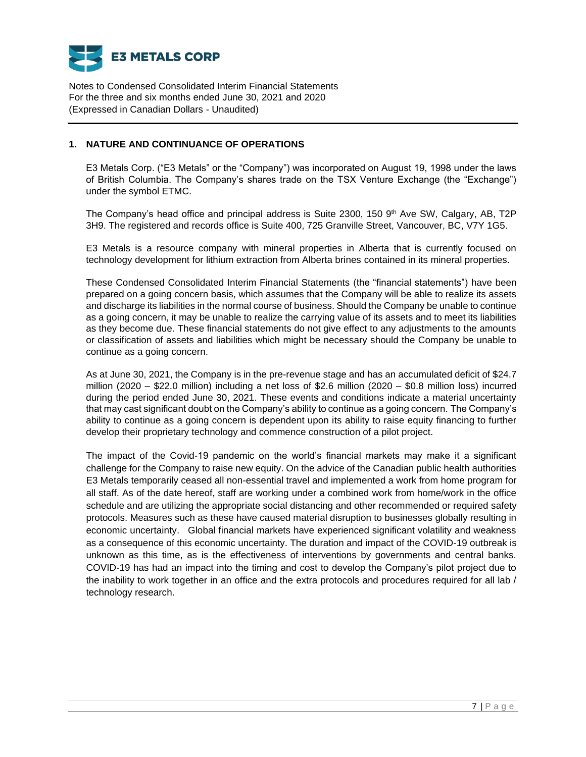

## **1. NATURE AND CONTINUANCE OF OPERATIONS**

E3 Metals Corp. ("E3 Metals" or the "Company") was incorporated on August 19, 1998 under the laws of British Columbia. The Company's shares trade on the TSX Venture Exchange (the "Exchange") under the symbol ETMC.

The Company's head office and principal address is Suite 2300, 150 9<sup>th</sup> Ave SW, Calgary, AB, T2P 3H9. The registered and records office is Suite 400, 725 Granville Street, Vancouver, BC, V7Y 1G5.

E3 Metals is a resource company with mineral properties in Alberta that is currently focused on technology development for lithium extraction from Alberta brines contained in its mineral properties.

These Condensed Consolidated Interim Financial Statements (the "financial statements") have been prepared on a going concern basis, which assumes that the Company will be able to realize its assets and discharge its liabilities in the normal course of business. Should the Company be unable to continue as a going concern, it may be unable to realize the carrying value of its assets and to meet its liabilities as they become due. These financial statements do not give effect to any adjustments to the amounts or classification of assets and liabilities which might be necessary should the Company be unable to continue as a going concern.

As at June 30, 2021, the Company is in the pre-revenue stage and has an accumulated deficit of \$24.7 million (2020 – \$22.0 million) including a net loss of \$2.6 million (2020 – \$0.8 million loss) incurred during the period ended June 30, 2021. These events and conditions indicate a material uncertainty that may cast significant doubt on the Company's ability to continue as a going concern. The Company's ability to continue as a going concern is dependent upon its ability to raise equity financing to further develop their proprietary technology and commence construction of a pilot project.

The impact of the Covid-19 pandemic on the world's financial markets may make it a significant challenge for the Company to raise new equity. On the advice of the Canadian public health authorities E3 Metals temporarily ceased all non-essential travel and implemented a work from home program for all staff. As of the date hereof, staff are working under a combined work from home/work in the office schedule and are utilizing the appropriate social distancing and other recommended or required safety protocols. Measures such as these have caused material disruption to businesses globally resulting in economic uncertainty. Global financial markets have experienced significant volatility and weakness as a consequence of this economic uncertainty. The duration and impact of the COVID-19 outbreak is unknown as this time, as is the effectiveness of interventions by governments and central banks. COVID-19 has had an impact into the timing and cost to develop the Company's pilot project due to the inability to work together in an office and the extra protocols and procedures required for all lab / technology research.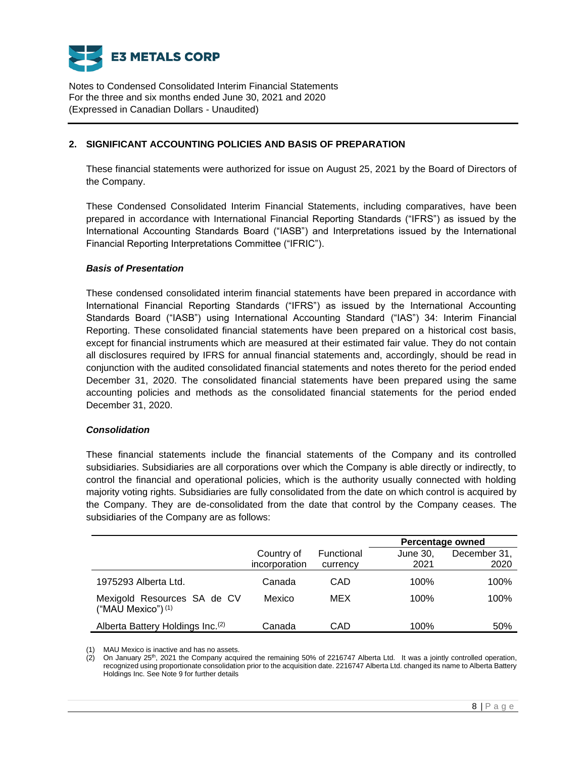

# **2. SIGNIFICANT ACCOUNTING POLICIES AND BASIS OF PREPARATION**

These financial statements were authorized for issue on August 25, 2021 by the Board of Directors of the Company.

These Condensed Consolidated Interim Financial Statements, including comparatives, have been prepared in accordance with International Financial Reporting Standards ("IFRS") as issued by the International Accounting Standards Board ("IASB") and Interpretations issued by the International Financial Reporting Interpretations Committee ("IFRIC").

## *Basis of Presentation*

These condensed consolidated interim financial statements have been prepared in accordance with International Financial Reporting Standards ("IFRS") as issued by the International Accounting Standards Board ("IASB") using International Accounting Standard ("IAS") 34: Interim Financial Reporting. These consolidated financial statements have been prepared on a historical cost basis, except for financial instruments which are measured at their estimated fair value. They do not contain all disclosures required by IFRS for annual financial statements and, accordingly, should be read in conjunction with the audited consolidated financial statements and notes thereto for the period ended December 31, 2020. The consolidated financial statements have been prepared using the same accounting policies and methods as the consolidated financial statements for the period ended December 31, 2020.

## *Consolidation*

These financial statements include the financial statements of the Company and its controlled subsidiaries. Subsidiaries are all corporations over which the Company is able directly or indirectly, to control the financial and operational policies, which is the authority usually connected with holding majority voting rights. Subsidiaries are fully consolidated from the date on which control is acquired by the Company. They are de-consolidated from the date that control by the Company ceases. The subsidiaries of the Company are as follows:

|                                                              |                             |                        | <b>Percentage owned</b> |                      |
|--------------------------------------------------------------|-----------------------------|------------------------|-------------------------|----------------------|
|                                                              | Country of<br>incorporation | Functional<br>currency | June 30,<br>2021        | December 31,<br>2020 |
| 1975293 Alberta Ltd.                                         | Canada                      | CAD                    | 100%                    | 100%                 |
| Mexigold Resources SA de CV<br>("MAU Mexico") <sup>(1)</sup> | Mexico                      | MEX                    | 100%                    | 100%                 |
| Alberta Battery Holdings Inc. <sup>(2)</sup>                 | Canada                      | CAD                    | 100%                    | 50%                  |

(1) MAU Mexico is inactive and has no assets.

(2) On January 25th, 2021 the Company acquired the remaining 50% of 2216747 Alberta Ltd. It was a jointly controlled operation, recognized using proportionate consolidation prior to the acquisition date. 2216747 Alberta Ltd. changed its name to Alberta Battery Holdings Inc. See Note 9 for further details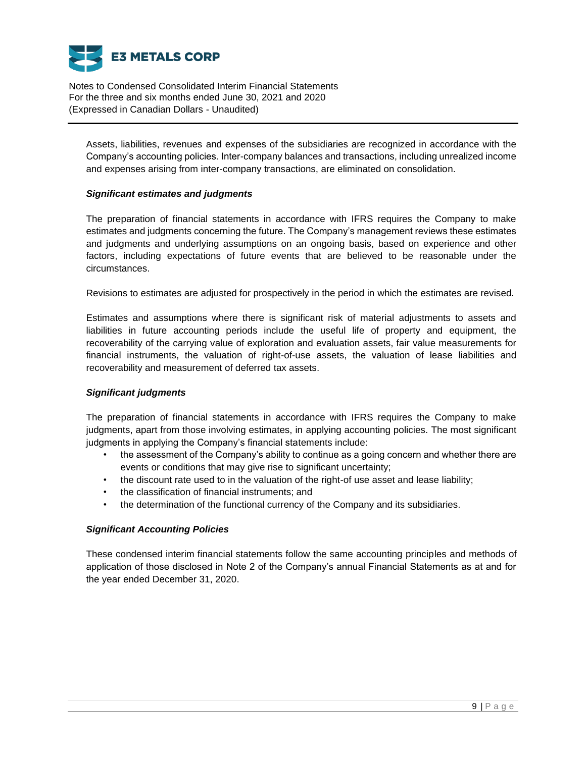

Assets, liabilities, revenues and expenses of the subsidiaries are recognized in accordance with the Company's accounting policies. Inter-company balances and transactions, including unrealized income and expenses arising from inter-company transactions, are eliminated on consolidation.

## *Significant estimates and judgments*

The preparation of financial statements in accordance with IFRS requires the Company to make estimates and judgments concerning the future. The Company's management reviews these estimates and judgments and underlying assumptions on an ongoing basis, based on experience and other factors, including expectations of future events that are believed to be reasonable under the circumstances.

Revisions to estimates are adjusted for prospectively in the period in which the estimates are revised.

Estimates and assumptions where there is significant risk of material adjustments to assets and liabilities in future accounting periods include the useful life of property and equipment, the recoverability of the carrying value of exploration and evaluation assets, fair value measurements for financial instruments, the valuation of right-of-use assets, the valuation of lease liabilities and recoverability and measurement of deferred tax assets.

# *Significant judgments*

The preparation of financial statements in accordance with IFRS requires the Company to make judgments, apart from those involving estimates, in applying accounting policies. The most significant judgments in applying the Company's financial statements include:

- the assessment of the Company's ability to continue as a going concern and whether there are events or conditions that may give rise to significant uncertainty;
- the discount rate used to in the valuation of the right-of use asset and lease liability;
- the classification of financial instruments; and
- the determination of the functional currency of the Company and its subsidiaries.

# *Significant Accounting Policies*

These condensed interim financial statements follow the same accounting principles and methods of application of those disclosed in Note 2 of the Company's annual Financial Statements as at and for the year ended December 31, 2020.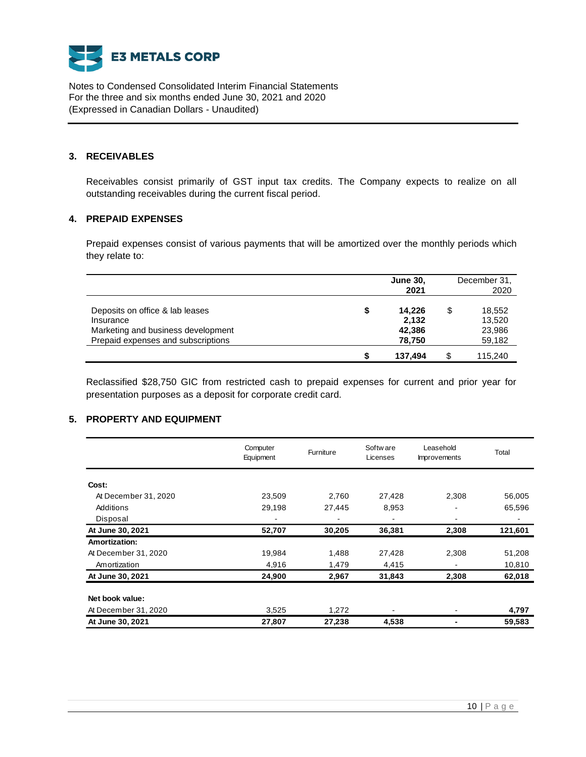

#### **3. RECEIVABLES**

Receivables consist primarily of GST input tax credits. The Company expects to realize on all outstanding receivables during the current fiscal period.

# **4. PREPAID EXPENSES**

Prepaid expenses consist of various payments that will be amortized over the monthly periods which they relate to:

|                                                                                                                          |   | <b>June 30,</b><br>2021             | December 31,<br>2020                       |
|--------------------------------------------------------------------------------------------------------------------------|---|-------------------------------------|--------------------------------------------|
| Deposits on office & lab leases<br>Insurance<br>Marketing and business development<br>Prepaid expenses and subscriptions |   | 14.226<br>2,132<br>42,386<br>78,750 | \$<br>18,552<br>13,520<br>23,986<br>59,182 |
|                                                                                                                          | S | 137.494                             | 115.240                                    |

Reclassified \$28,750 GIC from restricted cash to prepaid expenses for current and prior year for presentation purposes as a deposit for corporate credit card.

## **5. PROPERTY AND EQUIPMENT**

|                      | Computer<br>Equipment | Furniture | Softw are<br>Licenses    | Leasehold<br><b>Improvements</b> | Total   |
|----------------------|-----------------------|-----------|--------------------------|----------------------------------|---------|
| Cost:                |                       |           |                          |                                  |         |
| At December 31, 2020 | 23,509                | 2,760     | 27,428                   | 2,308                            | 56,005  |
| Additions            | 29,198                | 27,445    | 8,953                    |                                  | 65,596  |
| Disposal             |                       |           | $\overline{\phantom{a}}$ |                                  |         |
| At June 30, 2021     | 52,707                | 30,205    | 36,381                   | 2,308                            | 121,601 |
| Amortization:        |                       |           |                          |                                  |         |
| At December 31, 2020 | 19,984                | 1,488     | 27,428                   | 2,308                            | 51,208  |
| Amortization         | 4,916                 | 1,479     | 4,415                    |                                  | 10,810  |
| At June 30, 2021     | 24,900                | 2,967     | 31,843                   | 2,308                            | 62,018  |
| Net book value:      |                       |           |                          |                                  |         |
| At December 31, 2020 | 3,525                 | 1,272     |                          |                                  | 4,797   |
| At June 30, 2021     | 27,807                | 27,238    | 4,538                    |                                  | 59,583  |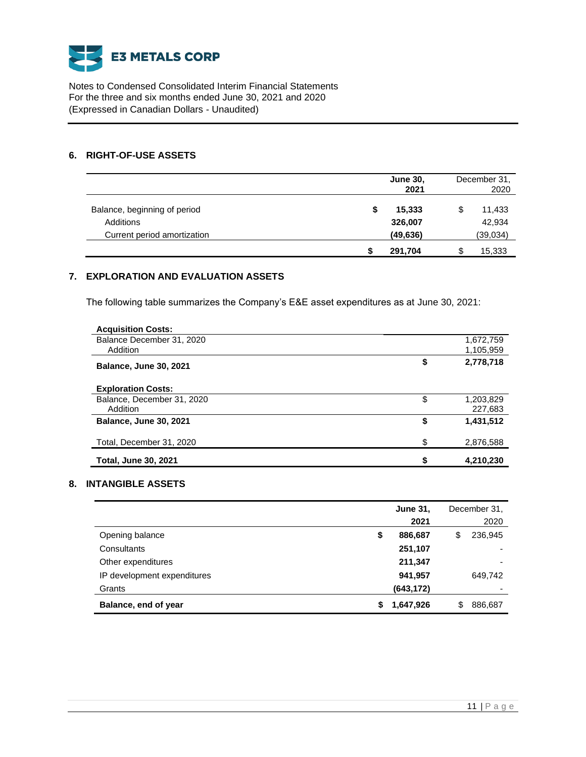

## **6. RIGHT-OF-USE ASSETS**

|                              | <b>June 30,</b><br>2021 | December 31,<br>2020 |
|------------------------------|-------------------------|----------------------|
| Balance, beginning of period | 15,333<br>\$            | 11,433               |
| Additions                    | 326,007                 | 42,934               |
| Current period amortization  | (49, 636)               | (39, 034)            |
|                              | 291,704                 | 15,333               |

# **7. EXPLORATION AND EVALUATION ASSETS**

The following table summarizes the Company's E&E asset expenditures as at June 30, 2021:

| <b>Acquisition Costs:</b>     |                 |
|-------------------------------|-----------------|
| Balance December 31, 2020     | 1,672,759       |
| Addition                      | 1,105,959       |
| <b>Balance, June 30, 2021</b> | \$<br>2,778,718 |
| <b>Exploration Costs:</b>     |                 |
| Balance, December 31, 2020    | \$<br>1,203,829 |
| Addition                      | 227,683         |
| <b>Balance, June 30, 2021</b> | \$<br>1,431,512 |
| Total, December 31, 2020      | \$<br>2,876,588 |
| <b>Total, June 30, 2021</b>   | 4,210,230       |

## **8. INTANGIBLE ASSETS**

|                             |    | <b>June 31,</b> | December 31,  |
|-----------------------------|----|-----------------|---------------|
|                             |    | 2021            | 2020          |
| Opening balance             | \$ | 886,687         | \$<br>236,945 |
| Consultants                 |    | 251,107         |               |
| Other expenditures          |    | 211,347         | -             |
| IP development expenditures |    | 941,957         | 649,742       |
| Grants                      |    | (643, 172)      |               |
| Balance, end of year        | S  | 1,647,926       | \$<br>886,687 |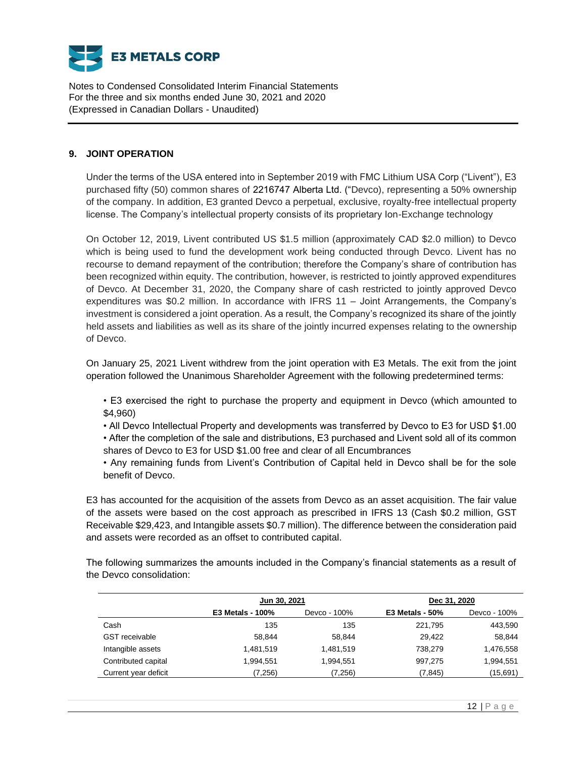

## **9. JOINT OPERATION**

Under the terms of the USA entered into in September 2019 with FMC Lithium USA Corp ("Livent"), E3 purchased fifty (50) common shares of 2216747 Alberta Ltd. ("Devco), representing a 50% ownership of the company. In addition, E3 granted Devco a perpetual, exclusive, royalty-free intellectual property license. The Company's intellectual property consists of its proprietary Ion-Exchange technology

On October 12, 2019, Livent contributed US \$1.5 million (approximately CAD \$2.0 million) to Devco which is being used to fund the development work being conducted through Devco. Livent has no recourse to demand repayment of the contribution; therefore the Company's share of contribution has been recognized within equity. The contribution, however, is restricted to jointly approved expenditures of Devco. At December 31, 2020, the Company share of cash restricted to jointly approved Devco expenditures was \$0.2 million. In accordance with IFRS 11 – Joint Arrangements, the Company's investment is considered a joint operation. As a result, the Company's recognized its share of the jointly held assets and liabilities as well as its share of the jointly incurred expenses relating to the ownership of Devco.

On January 25, 2021 Livent withdrew from the joint operation with E3 Metals. The exit from the joint operation followed the Unanimous Shareholder Agreement with the following predetermined terms:

• E3 exercised the right to purchase the property and equipment in Devco (which amounted to \$4,960)

• All Devco Intellectual Property and developments was transferred by Devco to E3 for USD \$1.00

• After the completion of the sale and distributions, E3 purchased and Livent sold all of its common shares of Devco to E3 for USD \$1.00 free and clear of all Encumbrances

• Any remaining funds from Livent's Contribution of Capital held in Devco shall be for the sole benefit of Devco.

E3 has accounted for the acquisition of the assets from Devco as an asset acquisition. The fair value of the assets were based on the cost approach as prescribed in IFRS 13 (Cash \$0.2 million, GST Receivable \$29,423, and Intangible assets \$0.7 million). The difference between the consideration paid and assets were recorded as an offset to contributed capital.

The following summarizes the amounts included in the Company's financial statements as a result of the Devco consolidation:

|                       | Jun 30, 2021            |              | Dec 31, 2020      |              |
|-----------------------|-------------------------|--------------|-------------------|--------------|
|                       | <b>E3 Metals - 100%</b> | Devco - 100% | $E3$ Metals - 50% | Devco - 100% |
| Cash                  | 135                     | 135          | 221,795           | 443,590      |
| <b>GST</b> receivable | 58.844                  | 58.844       | 29.422            | 58,844       |
| Intangible assets     | 1.481.519               | 1,481,519    | 738.279           | 1,476,558    |
| Contributed capital   | 1,994,551               | 1,994,551    | 997,275           | 1,994,551    |
| Current year deficit  | (7,256)                 | (7,256)      | (7, 845)          | (15,691)     |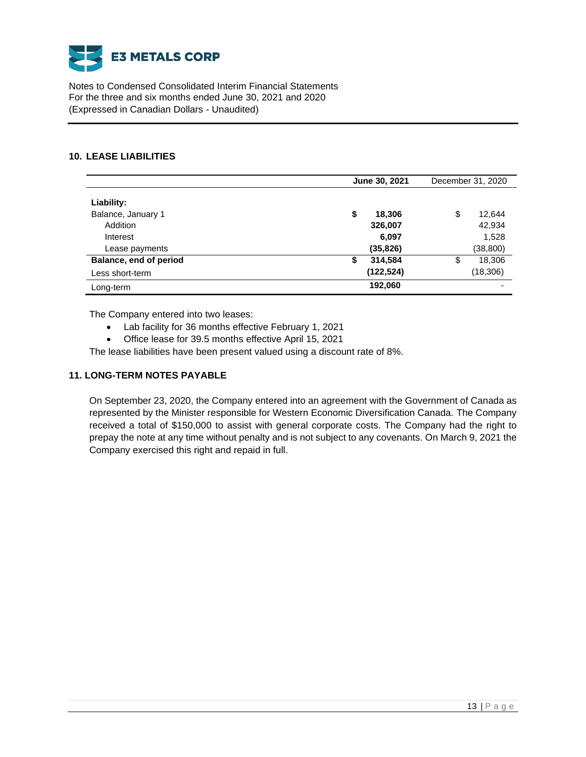

## **10. LEASE LIABILITIES**

|                                           | June 30, 2021                 | December 31, 2020           |
|-------------------------------------------|-------------------------------|-----------------------------|
| Liability:<br>Balance, January 1          | \$<br>18,306                  | \$<br>12,644                |
| Addition<br>Interest<br>Lease payments    | 326,007<br>6,097<br>(35, 826) | 42,934<br>1,528<br>(38,800) |
| Balance, end of period<br>Less short-term | 314,584<br>\$<br>(122, 524)   | 18,306<br>\$<br>(18, 306)   |
| Long-term                                 | 192,060                       | $\overline{\phantom{0}}$    |

The Company entered into two leases:

- Lab facility for 36 months effective February 1, 2021
- Office lease for 39.5 months effective April 15, 2021

The lease liabilities have been present valued using a discount rate of 8%.

## **11. LONG-TERM NOTES PAYABLE**

On September 23, 2020, the Company entered into an agreement with the Government of Canada as represented by the Minister responsible for Western Economic Diversification Canada. The Company received a total of \$150,000 to assist with general corporate costs. The Company had the right to prepay the note at any time without penalty and is not subject to any covenants. On March 9, 2021 the Company exercised this right and repaid in full.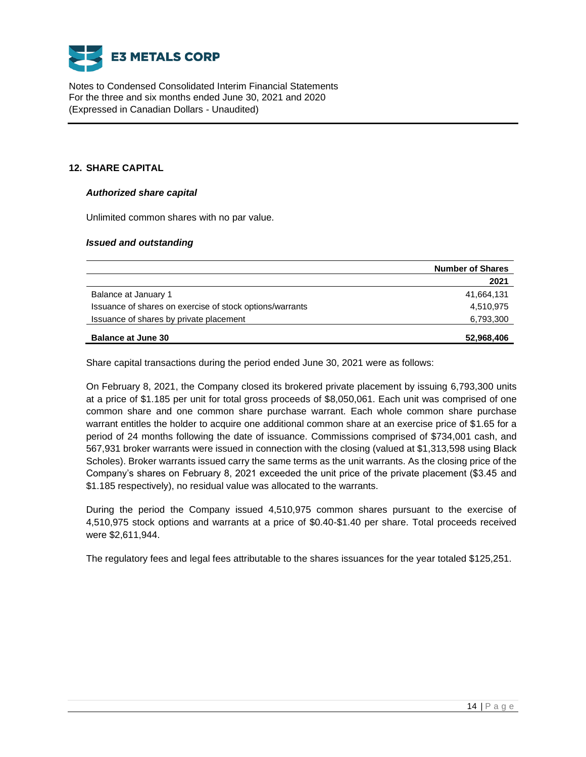

# **12. SHARE CAPITAL**

## *Authorized share capital*

Unlimited common shares with no par value.

## *Issued and outstanding*

|                                                          | <b>Number of Shares</b> |
|----------------------------------------------------------|-------------------------|
|                                                          | 2021                    |
| Balance at January 1                                     | 41,664,131              |
| Issuance of shares on exercise of stock options/warrants | 4,510,975               |
| Issuance of shares by private placement                  | 6,793,300               |
| <b>Balance at June 30</b>                                | 52,968,406              |

Share capital transactions during the period ended June 30, 2021 were as follows:

On February 8, 2021, the Company closed its brokered private placement by issuing 6,793,300 units at a price of \$1.185 per unit for total gross proceeds of \$8,050,061. Each unit was comprised of one common share and one common share purchase warrant. Each whole common share purchase warrant entitles the holder to acquire one additional common share at an exercise price of \$1.65 for a period of 24 months following the date of issuance. Commissions comprised of \$734,001 cash, and 567,931 broker warrants were issued in connection with the closing (valued at \$1,313,598 using Black Scholes). Broker warrants issued carry the same terms as the unit warrants. As the closing price of the Company's shares on February 8, 2021 exceeded the unit price of the private placement (\$3.45 and \$1.185 respectively), no residual value was allocated to the warrants.

During the period the Company issued 4,510,975 common shares pursuant to the exercise of 4,510,975 stock options and warrants at a price of \$0.40-\$1.40 per share. Total proceeds received were \$2,611,944.

The regulatory fees and legal fees attributable to the shares issuances for the year totaled \$125,251.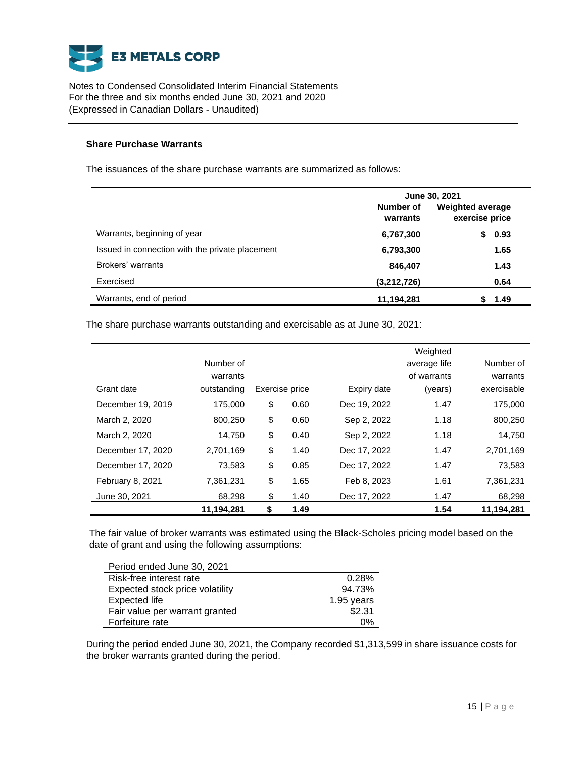

## **Share Purchase Warrants**

The issuances of the share purchase warrants are summarized as follows:

|                                                 | June 30, 2021         |                                           |  |  |
|-------------------------------------------------|-----------------------|-------------------------------------------|--|--|
|                                                 | Number of<br>warrants | <b>Weighted average</b><br>exercise price |  |  |
| Warrants, beginning of year                     | 6,767,300             | 0.93                                      |  |  |
| Issued in connection with the private placement | 6,793,300             | 1.65                                      |  |  |
| Brokers' warrants                               | 846,407               | 1.43                                      |  |  |
| Exercised                                       | (3,212,726)           | 0.64                                      |  |  |
| Warrants, end of period                         | 11,194,281            | 1.49                                      |  |  |

The share purchase warrants outstanding and exercisable as at June 30, 2021:

|                   |             |                |              | Weighted     |             |
|-------------------|-------------|----------------|--------------|--------------|-------------|
|                   | Number of   |                |              | average life | Number of   |
|                   | warrants    |                |              | of warrants  | warrants    |
| Grant date        | outstanding | Exercise price | Expiry date  | (years)      | exercisable |
| December 19, 2019 | 175,000     | \$<br>0.60     | Dec 19, 2022 | 1.47         | 175.000     |
| March 2, 2020     | 800,250     | \$<br>0.60     | Sep 2, 2022  | 1.18         | 800,250     |
| March 2, 2020     | 14,750      | \$<br>0.40     | Sep 2, 2022  | 1.18         | 14.750      |
| December 17, 2020 | 2,701,169   | \$<br>1.40     | Dec 17, 2022 | 1.47         | 2,701,169   |
| December 17, 2020 | 73,583      | \$<br>0.85     | Dec 17, 2022 | 1.47         | 73,583      |
| February 8, 2021  | 7,361,231   | \$<br>1.65     | Feb 8, 2023  | 1.61         | 7,361,231   |
| June 30, 2021     | 68,298      | \$<br>1.40     | Dec 17, 2022 | 1.47         | 68,298      |
|                   | 11,194,281  | \$<br>1.49     |              | 1.54         | 11,194,281  |

The fair value of broker warrants was estimated using the Black-Scholes pricing model based on the date of grant and using the following assumptions:

| Period ended June 30, 2021      |            |
|---------------------------------|------------|
| Risk-free interest rate         | 0.28%      |
| Expected stock price volatility | 94.73%     |
| <b>Expected life</b>            | 1.95 years |
| Fair value per warrant granted  | \$2.31     |
| Forfeiture rate                 | 0%         |

During the period ended June 30, 2021, the Company recorded \$1,313,599 in share issuance costs for the broker warrants granted during the period.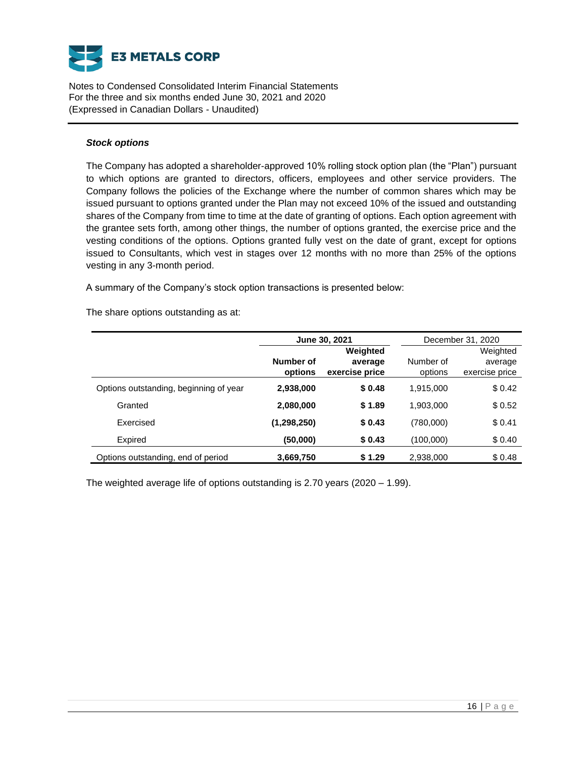

#### *Stock options*

The Company has adopted a shareholder-approved 10% rolling stock option plan (the "Plan") pursuant to which options are granted to directors, officers, employees and other service providers. The Company follows the policies of the Exchange where the number of common shares which may be issued pursuant to options granted under the Plan may not exceed 10% of the issued and outstanding shares of the Company from time to time at the date of granting of options. Each option agreement with the grantee sets forth, among other things, the number of options granted, the exercise price and the vesting conditions of the options. Options granted fully vest on the date of grant, except for options issued to Consultants, which vest in stages over 12 months with no more than 25% of the options vesting in any 3-month period.

A summary of the Company's stock option transactions is presented below:

The share options outstanding as at:

|                                        |                      | June 30, 2021                         | December 31, 2020    |                                       |  |
|----------------------------------------|----------------------|---------------------------------------|----------------------|---------------------------------------|--|
|                                        | Number of<br>options | Weighted<br>average<br>exercise price | Number of<br>options | Weighted<br>average<br>exercise price |  |
| Options outstanding, beginning of year | 2,938,000            | \$0.48                                | 1,915,000            | \$0.42                                |  |
| Granted                                | 2,080,000            | \$1.89                                | 1,903,000            | \$0.52                                |  |
| Exercised                              | (1,298,250)          | \$0.43                                | (780,000)            | \$0.41                                |  |
| Expired                                | (50,000)             | \$0.43                                | (100,000)            | \$0.40                                |  |
| Options outstanding, end of period     | 3,669,750            | \$1.29                                | 2,938,000            | \$0.48                                |  |

The weighted average life of options outstanding is 2.70 years (2020 – 1.99).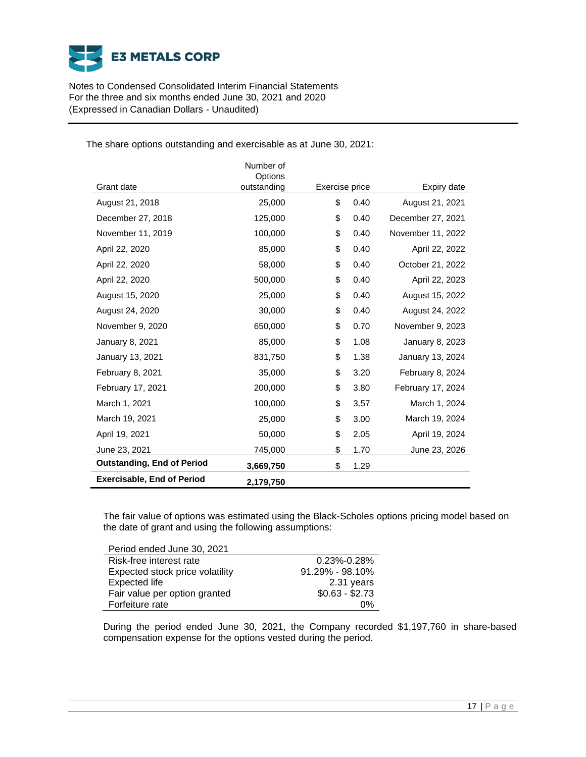

|                                   | Number of<br>Options |                |      |                   |
|-----------------------------------|----------------------|----------------|------|-------------------|
| Grant date                        | outstanding          | Exercise price |      | Expiry date       |
| August 21, 2018                   | 25,000               | \$             | 0.40 | August 21, 2021   |
| December 27, 2018                 | 125,000              | \$             | 0.40 | December 27, 2021 |
| November 11, 2019                 | 100,000              | \$             | 0.40 | November 11, 2022 |
| April 22, 2020                    | 85,000               | \$             | 0.40 | April 22, 2022    |
| April 22, 2020                    | 58,000               | \$             | 0.40 | October 21, 2022  |
| April 22, 2020                    | 500,000              | \$             | 0.40 | April 22, 2023    |
| August 15, 2020                   | 25,000               | \$             | 0.40 | August 15, 2022   |
| August 24, 2020                   | 30,000               | \$             | 0.40 | August 24, 2022   |
| November 9, 2020                  | 650,000              | \$             | 0.70 | November 9, 2023  |
| January 8, 2021                   | 85,000               | \$             | 1.08 | January 8, 2023   |
| January 13, 2021                  | 831,750              | \$             | 1.38 | January 13, 2024  |
| February 8, 2021                  | 35,000               | \$             | 3.20 | February 8, 2024  |
| February 17, 2021                 | 200,000              | \$             | 3.80 | February 17, 2024 |
| March 1, 2021                     | 100,000              | \$             | 3.57 | March 1, 2024     |
| March 19, 2021                    | 25,000               | \$             | 3.00 | March 19, 2024    |
| April 19, 2021                    | 50,000               | \$             | 2.05 | April 19, 2024    |
| June 23, 2021                     | 745,000              | \$             | 1.70 | June 23, 2026     |
| <b>Outstanding, End of Period</b> | 3,669,750            | \$             | 1.29 |                   |
| <b>Exercisable, End of Period</b> | 2,179,750            |                |      |                   |

The share options outstanding and exercisable as at June 30, 2021:

The fair value of options was estimated using the Black-Scholes options pricing model based on the date of grant and using the following assumptions:

| Period ended June 30, 2021      |                     |
|---------------------------------|---------------------|
| Risk-free interest rate         | $0.23\% - 0.28\%$   |
| Expected stock price volatility | $91.29\% - 98.10\%$ |
| <b>Expected life</b>            | 2.31 years          |
| Fair value per option granted   | $$0.63 - $2.73$     |
| Forfeiture rate                 | በ%                  |

During the period ended June 30, 2021, the Company recorded \$1,197,760 in share-based compensation expense for the options vested during the period.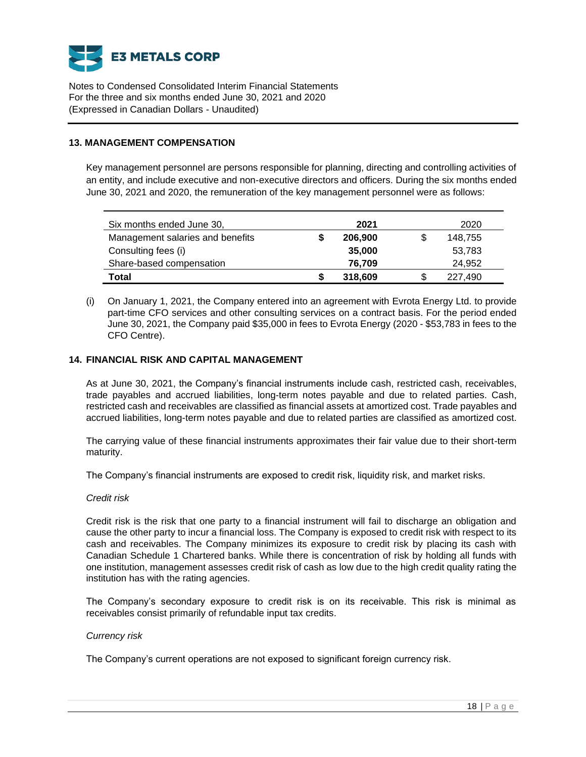

## **13. MANAGEMENT COMPENSATION**

Key management personnel are persons responsible for planning, directing and controlling activities of an entity, and include executive and non-executive directors and officers. During the six months ended June 30, 2021 and 2020, the remuneration of the key management personnel were as follows:

| Six months ended June 30,        | 2021    |     | 2020    |
|----------------------------------|---------|-----|---------|
| Management salaries and benefits | 206,900 | \$. | 148.755 |
| Consulting fees (i)              | 35,000  |     | 53,783  |
| Share-based compensation         | 76,709  |     | 24,952  |
| Total                            | 318,609 | S   | 227.490 |

(i) On January 1, 2021, the Company entered into an agreement with Evrota Energy Ltd. to provide part-time CFO services and other consulting services on a contract basis. For the period ended June 30, 2021, the Company paid \$35,000 in fees to Evrota Energy (2020 - \$53,783 in fees to the CFO Centre).

## **14. FINANCIAL RISK AND CAPITAL MANAGEMENT**

As at June 30, 2021, the Company's financial instruments include cash, restricted cash, receivables, trade payables and accrued liabilities, long-term notes payable and due to related parties. Cash, restricted cash and receivables are classified as financial assets at amortized cost. Trade payables and accrued liabilities, long-term notes payable and due to related parties are classified as amortized cost.

The carrying value of these financial instruments approximates their fair value due to their short-term maturity.

The Company's financial instruments are exposed to credit risk, liquidity risk, and market risks.

#### *Credit risk*

Credit risk is the risk that one party to a financial instrument will fail to discharge an obligation and cause the other party to incur a financial loss. The Company is exposed to credit risk with respect to its cash and receivables. The Company minimizes its exposure to credit risk by placing its cash with Canadian Schedule 1 Chartered banks. While there is concentration of risk by holding all funds with one institution, management assesses credit risk of cash as low due to the high credit quality rating the institution has with the rating agencies.

The Company's secondary exposure to credit risk is on its receivable. This risk is minimal as receivables consist primarily of refundable input tax credits.

#### *Currency risk*

The Company's current operations are not exposed to significant foreign currency risk.